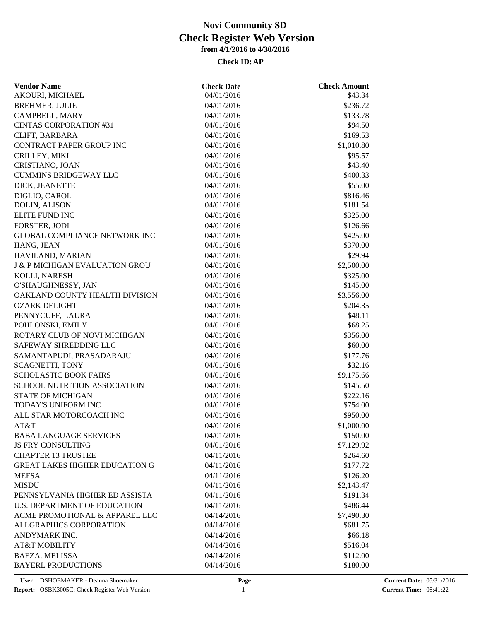| <b>Vendor Name</b>                              | <b>Check Date</b>        | <b>Check Amount</b>  |  |
|-------------------------------------------------|--------------------------|----------------------|--|
| <b>AKOURI, MICHAEL</b>                          | 04/01/2016               | \$43.34              |  |
| <b>BREHMER, JULIE</b>                           | 04/01/2016               | \$236.72             |  |
| CAMPBELL, MARY                                  | 04/01/2016               | \$133.78             |  |
| <b>CINTAS CORPORATION #31</b>                   | 04/01/2016               | \$94.50              |  |
| CLIFT, BARBARA                                  | 04/01/2016               | \$169.53             |  |
| CONTRACT PAPER GROUP INC                        | 04/01/2016               | \$1,010.80           |  |
| CRILLEY, MIKI                                   | 04/01/2016               | \$95.57              |  |
| CRISTIANO, JOAN                                 | 04/01/2016               | \$43.40              |  |
| <b>CUMMINS BRIDGEWAY LLC</b>                    | 04/01/2016               | \$400.33             |  |
| DICK, JEANETTE                                  | 04/01/2016               | \$55.00              |  |
| DIGLIO, CAROL                                   | 04/01/2016               | \$816.46             |  |
| DOLIN, ALISON                                   | 04/01/2016               | \$181.54             |  |
| <b>ELITE FUND INC</b>                           | 04/01/2016               | \$325.00             |  |
| FORSTER, JODI                                   | 04/01/2016               | \$126.66             |  |
| <b>GLOBAL COMPLIANCE NETWORK INC</b>            | 04/01/2016               | \$425.00             |  |
| HANG, JEAN                                      | 04/01/2016               | \$370.00             |  |
| HAVILAND, MARIAN                                | 04/01/2016               | \$29.94              |  |
| <b>J &amp; P MICHIGAN EVALUATION GROU</b>       | 04/01/2016               | \$2,500.00           |  |
| KOLLI, NARESH                                   | 04/01/2016               | \$325.00             |  |
| O'SHAUGHNESSY, JAN                              | 04/01/2016               | \$145.00             |  |
| OAKLAND COUNTY HEALTH DIVISION                  | 04/01/2016               | \$3,556.00           |  |
| <b>OZARK DELIGHT</b>                            | 04/01/2016               | \$204.35             |  |
| PENNYCUFF, LAURA                                | 04/01/2016               | \$48.11              |  |
| POHLONSKI, EMILY                                | 04/01/2016               | \$68.25              |  |
| ROTARY CLUB OF NOVI MICHIGAN                    | 04/01/2016               | \$356.00             |  |
| SAFEWAY SHREDDING LLC                           | 04/01/2016               | \$60.00              |  |
| SAMANTAPUDI, PRASADARAJU                        | 04/01/2016               | \$177.76             |  |
| <b>SCAGNETTI, TONY</b>                          | 04/01/2016               | \$32.16              |  |
| <b>SCHOLASTIC BOOK FAIRS</b>                    | 04/01/2016               | \$9,175.66           |  |
| SCHOOL NUTRITION ASSOCIATION                    | 04/01/2016               |                      |  |
|                                                 |                          | \$145.50             |  |
| <b>STATE OF MICHIGAN</b><br>TODAY'S UNIFORM INC | 04/01/2016<br>04/01/2016 | \$222.16<br>\$754.00 |  |
|                                                 | 04/01/2016               | \$950.00             |  |
| ALL STAR MOTORCOACH INC                         |                          |                      |  |
| AT&T                                            | 04/01/2016               | \$1,000.00           |  |
| <b>BABA LANGUAGE SERVICES</b>                   | 04/01/2016               | \$150.00             |  |
| <b>JS FRY CONSULTING</b>                        | 04/01/2016               | \$7,129.92           |  |
| <b>CHAPTER 13 TRUSTEE</b>                       | 04/11/2016               | \$264.60             |  |
| <b>GREAT LAKES HIGHER EDUCATION G</b>           | 04/11/2016               | \$177.72             |  |
| <b>MEFSA</b>                                    | 04/11/2016               | \$126.20             |  |
| <b>MISDU</b>                                    | 04/11/2016               | \$2,143.47           |  |
| PENNSYLVANIA HIGHER ED ASSISTA                  | 04/11/2016               | \$191.34             |  |
| <b>U.S. DEPARTMENT OF EDUCATION</b>             | 04/11/2016               | \$486.44             |  |
| ACME PROMOTIONAL & APPAREL LLC                  | 04/14/2016               | \$7,490.30           |  |
| ALLGRAPHICS CORPORATION                         | 04/14/2016               | \$681.75             |  |
| ANDYMARK INC.                                   | 04/14/2016               | \$66.18              |  |
| <b>AT&amp;T MOBILITY</b>                        | 04/14/2016               | \$516.04             |  |
| BAEZA, MELISSA                                  | 04/14/2016               | \$112.00             |  |
| <b>BAYERL PRODUCTIONS</b>                       | 04/14/2016               | \$180.00             |  |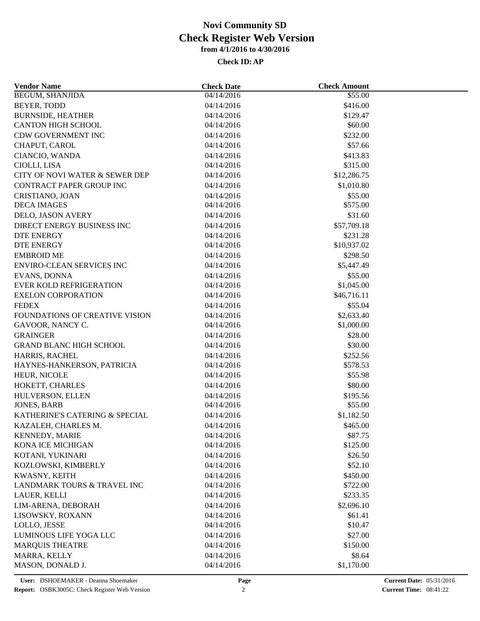| <b>Vendor Name</b>               | <b>Check Date</b>        | <b>Check Amount</b> |  |
|----------------------------------|--------------------------|---------------------|--|
| <b>BEGUM, SHANJIDA</b>           | 04/14/2016               | \$55.00             |  |
| BEYER, TODD                      | 04/14/2016               | \$416.00            |  |
| <b>BURNSIDE, HEATHER</b>         | 04/14/2016               | \$129.47            |  |
| <b>CANTON HIGH SCHOOL</b>        | 04/14/2016               | \$60.00             |  |
| <b>CDW GOVERNMENT INC</b>        | 04/14/2016               | \$232.00            |  |
| CHAPUT, CAROL                    | 04/14/2016               | \$57.66             |  |
| CIANCIO, WANDA                   | 04/14/2016               | \$413.83            |  |
| CIOLLI, LISA                     | 04/14/2016               | \$315.00            |  |
| CITY OF NOVI WATER & SEWER DEP   | 04/14/2016               | \$12,286.75         |  |
| <b>CONTRACT PAPER GROUP INC</b>  | 04/14/2016               | \$1,010.80          |  |
| CRISTIANO, JOAN                  | 04/14/2016               | \$55.00             |  |
| <b>DECA IMAGES</b>               | 04/14/2016               | \$575.00            |  |
| DELO, JASON AVERY                | 04/14/2016               | \$31.60             |  |
| DIRECT ENERGY BUSINESS INC       | 04/14/2016               | \$57,709.18         |  |
| <b>DTE ENERGY</b>                | 04/14/2016               | \$231.28            |  |
| DTE ENERGY                       | 04/14/2016               | \$10,937.02         |  |
| <b>EMBROID ME</b>                | 04/14/2016               | \$298.50            |  |
| <b>ENVIRO-CLEAN SERVICES INC</b> | 04/14/2016               | \$5,447.49          |  |
| EVANS, DONNA                     | 04/14/2016               | \$55.00             |  |
| <b>EVER KOLD REFRIGERATION</b>   | 04/14/2016               | \$1,045.00          |  |
| <b>EXELON CORPORATION</b>        | 04/14/2016               | \$46,716.11         |  |
| <b>FEDEX</b>                     | 04/14/2016               | \$55.04             |  |
| FOUNDATIONS OF CREATIVE VISION   | 04/14/2016               | \$2,633.40          |  |
| GAVOOR, NANCY C.                 | 04/14/2016               | \$1,000.00          |  |
| <b>GRAINGER</b>                  | 04/14/2016               | \$28.00             |  |
| <b>GRAND BLANC HIGH SCHOOL</b>   | 04/14/2016               | \$30.00             |  |
| HARRIS, RACHEL                   | 04/14/2016               | \$252.56            |  |
| HAYNES-HANKERSON, PATRICIA       | 04/14/2016               | \$578.53            |  |
| HEUR, NICOLE                     | 04/14/2016               | \$55.98             |  |
| HOKETT, CHARLES                  | 04/14/2016               | \$80.00             |  |
| HULVERSON, ELLEN                 | 04/14/2016               | \$195.56            |  |
| <b>JONES, BARB</b>               | 04/14/2016               | \$55.00             |  |
| KATHERINE'S CATERING & SPECIAL   | 04/14/2016               | \$1,182.50          |  |
| KAZALEH, CHARLES M.              | 04/14/2016               | \$465.00            |  |
| KENNEDY, MARIE                   | 04/14/2016               | \$87.75             |  |
| KONA ICE MICHIGAN                | 04/14/2016               | \$125.00            |  |
| KOTANI, YUKINARI                 | 04/14/2016               | \$26.50             |  |
| KOZLOWSKI, KIMBERLY              | 04/14/2016               | \$52.10             |  |
| KWASNY, KEITH                    |                          | \$450.00            |  |
| LANDMARK TOURS & TRAVEL INC      | 04/14/2016<br>04/14/2016 | \$722.00            |  |
| LAUER, KELLI                     | 04/14/2016               | \$233.35            |  |
| LIM-ARENA, DEBORAH               |                          |                     |  |
|                                  | 04/14/2016               | \$2,696.10          |  |
| LISOWSKY, ROXANN                 | 04/14/2016               | \$61.41             |  |
| LOLLO, JESSE                     | 04/14/2016               | \$10.47             |  |
| LUMINOUS LIFE YOGA LLC           | 04/14/2016               | \$27.00             |  |
| <b>MARQUIS THEATRE</b>           | 04/14/2016               | \$150.00            |  |
| MARRA, KELLY                     | 04/14/2016               | \$8.64              |  |
| MASON, DONALD J.                 | 04/14/2016               | \$1,170.00          |  |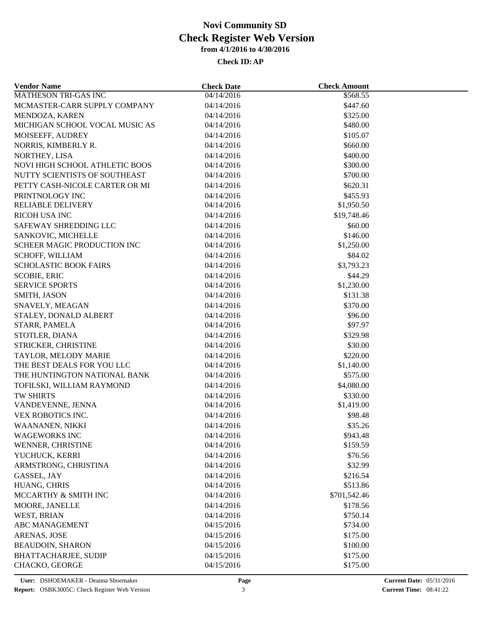| <b>Vendor Name</b>                                 | <b>Check Date</b> | <b>Check Amount</b> |  |
|----------------------------------------------------|-------------------|---------------------|--|
| <b>MATHESON TRI-GAS INC</b>                        | 04/14/2016        | \$568.55            |  |
| MCMASTER-CARR SUPPLY COMPANY                       | 04/14/2016        | \$447.60            |  |
| MENDOZA, KAREN                                     | 04/14/2016        | \$325.00            |  |
| MICHIGAN SCHOOL VOCAL MUSIC AS                     | 04/14/2016        | \$480.00            |  |
| MOISEEFF, AUDREY                                   | 04/14/2016        | \$105.07            |  |
| NORRIS, KIMBERLY R.                                | 04/14/2016        | \$660.00            |  |
| NORTHEY, LISA                                      | 04/14/2016        | \$400.00            |  |
| NOVI HIGH SCHOOL ATHLETIC BOOS                     | 04/14/2016        | \$300.00            |  |
| NUTTY SCIENTISTS OF SOUTHEAST                      | 04/14/2016        | \$700.00            |  |
| PETTY CASH-NICOLE CARTER OR MI                     | 04/14/2016        | \$620.31            |  |
| PRINTNOLOGY INC                                    | 04/14/2016        | \$455.93            |  |
| <b>RELIABLE DELIVERY</b>                           | 04/14/2016        | \$1,950.50          |  |
| <b>RICOH USA INC</b>                               | 04/14/2016        | \$19,748.46         |  |
| SAFEWAY SHREDDING LLC                              | 04/14/2016        | \$60.00             |  |
| SANKOVIC, MICHELLE                                 | 04/14/2016        | \$146.00            |  |
| SCHEER MAGIC PRODUCTION INC                        | 04/14/2016        | \$1,250.00          |  |
| <b>SCHOFF, WILLIAM</b>                             | 04/14/2016        | \$84.02             |  |
| <b>SCHOLASTIC BOOK FAIRS</b>                       | 04/14/2016        | \$3,793.23          |  |
| <b>SCOBIE, ERIC</b>                                | 04/14/2016        | \$44.29             |  |
| <b>SERVICE SPORTS</b>                              | 04/14/2016        | \$1,230.00          |  |
| SMITH, JASON                                       | 04/14/2016        | \$131.38            |  |
| SNAVELY, MEAGAN                                    | 04/14/2016        | \$370.00            |  |
| STALEY, DONALD ALBERT                              | 04/14/2016        | \$96.00             |  |
| STARR, PAMELA                                      | 04/14/2016        | \$97.97             |  |
| STOTLER, DIANA                                     | 04/14/2016        | \$329.98            |  |
| STRICKER, CHRISTINE                                | 04/14/2016        | \$30.00             |  |
|                                                    | 04/14/2016        | \$220.00            |  |
| TAYLOR, MELODY MARIE<br>THE BEST DEALS FOR YOU LLC | 04/14/2016        | \$1,140.00          |  |
|                                                    |                   |                     |  |
| THE HUNTINGTON NATIONAL BANK                       | 04/14/2016        | \$575.00            |  |
| TOFILSKI, WILLIAM RAYMOND                          | 04/14/2016        | \$4,080.00          |  |
| TW SHIRTS                                          | 04/14/2016        | \$330.00            |  |
| VANDEVENNE, JENNA                                  | 04/14/2016        | \$1,419.00          |  |
| VEX ROBOTICS INC.                                  | 04/14/2016        | \$98.48             |  |
| WAANANEN, NIKKI                                    | 04/14/2016        | \$35.26             |  |
| <b>WAGEWORKS INC</b>                               | 04/14/2016        | \$943.48            |  |
| WENNER, CHRISTINE                                  | 04/14/2016        | \$159.59            |  |
| YUCHUCK, KERRI                                     | 04/14/2016        | \$76.56             |  |
| ARMSTRONG, CHRISTINA                               | 04/14/2016        | \$32.99             |  |
| GASSEL, JAY                                        | 04/14/2016        | \$216.54            |  |
| HUANG, CHRIS                                       | 04/14/2016        | \$513.86            |  |
| MCCARTHY & SMITH INC                               | 04/14/2016        | \$701,542.46        |  |
| MOORE, JANELLE                                     | 04/14/2016        | \$178.56            |  |
| WEST, BRIAN                                        | 04/14/2016        | \$750.14            |  |
| <b>ABC MANAGEMENT</b>                              | 04/15/2016        | \$734.00            |  |
| ARENAS, JOSE                                       | 04/15/2016        | \$175.00            |  |
| <b>BEAUDOIN, SHARON</b>                            | 04/15/2016        | \$100.00            |  |
| <b>BHATTACHARJEE, SUDIP</b>                        | 04/15/2016        | \$175.00            |  |
| CHACKO, GEORGE                                     | 04/15/2016        | \$175.00            |  |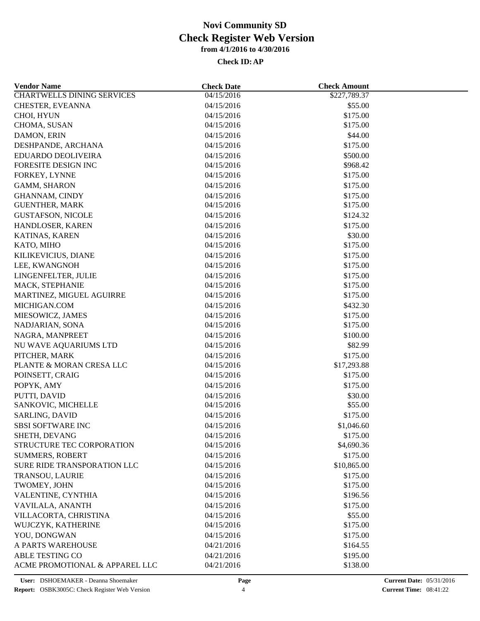| <b>Vendor Name</b>                | <b>Check Date</b> | <b>Check Amount</b> |  |
|-----------------------------------|-------------------|---------------------|--|
| <b>CHARTWELLS DINING SERVICES</b> | 04/15/2016        | \$227,789.37        |  |
| CHESTER, EVEANNA                  | 04/15/2016        | \$55.00             |  |
| CHOI, HYUN                        | 04/15/2016        | \$175.00            |  |
| CHOMA, SUSAN                      | 04/15/2016        | \$175.00            |  |
| DAMON, ERIN                       | 04/15/2016        | \$44.00             |  |
| DESHPANDE, ARCHANA                | 04/15/2016        | \$175.00            |  |
| EDUARDO DEOLIVEIRA                | 04/15/2016        | \$500.00            |  |
| FORESITE DESIGN INC               | 04/15/2016        | \$968.42            |  |
| FORKEY, LYNNE                     | 04/15/2016        | \$175.00            |  |
| <b>GAMM, SHARON</b>               | 04/15/2016        | \$175.00            |  |
| <b>GHANNAM, CINDY</b>             | 04/15/2016        | \$175.00            |  |
| <b>GUENTHER, MARK</b>             | 04/15/2016        | \$175.00            |  |
| <b>GUSTAFSON, NICOLE</b>          | 04/15/2016        | \$124.32            |  |
| HANDLOSER, KAREN                  | 04/15/2016        | \$175.00            |  |
| KATINAS, KAREN                    | 04/15/2016        | \$30.00             |  |
| KATO, MIHO                        | 04/15/2016        | \$175.00            |  |
| KILIKEVICIUS, DIANE               | 04/15/2016        | \$175.00            |  |
| LEE, KWANGNOH                     | 04/15/2016        | \$175.00            |  |
| LINGENFELTER, JULIE               | 04/15/2016        | \$175.00            |  |
| MACK, STEPHANIE                   | 04/15/2016        | \$175.00            |  |
| MARTINEZ, MIGUEL AGUIRRE          | 04/15/2016        | \$175.00            |  |
| MICHIGAN.COM                      | 04/15/2016        | \$432.30            |  |
| MIESOWICZ, JAMES                  | 04/15/2016        | \$175.00            |  |
| NADJARIAN, SONA                   | 04/15/2016        | \$175.00            |  |
| NAGRA, MANPREET                   | 04/15/2016        | \$100.00            |  |
| NU WAVE AQUARIUMS LTD             | 04/15/2016        | \$82.99             |  |
| PITCHER, MARK                     | 04/15/2016        | \$175.00            |  |
| PLANTE & MORAN CRESA LLC          | 04/15/2016        | \$17,293.88         |  |
| POINSETT, CRAIG                   | 04/15/2016        | \$175.00            |  |
| POPYK, AMY                        | 04/15/2016        | \$175.00            |  |
| PUTTI, DAVID                      | 04/15/2016        | \$30.00             |  |
| SANKOVIC, MICHELLE                | 04/15/2016        | \$55.00             |  |
| SARLING, DAVID                    | 04/15/2016        | \$175.00            |  |
| <b>SBSI SOFTWARE INC</b>          | 04/15/2016        | \$1,046.60          |  |
| SHETH, DEVANG                     | 04/15/2016        | \$175.00            |  |
| STRUCTURE TEC CORPORATION         | 04/15/2016        | \$4,690.36          |  |
| <b>SUMMERS, ROBERT</b>            | 04/15/2016        | \$175.00            |  |
| SURE RIDE TRANSPORATION LLC       | 04/15/2016        | \$10,865.00         |  |
| TRANSOU, LAURIE                   | 04/15/2016        | \$175.00            |  |
| TWOMEY, JOHN                      | 04/15/2016        | \$175.00            |  |
| VALENTINE, CYNTHIA                | 04/15/2016        | \$196.56            |  |
|                                   |                   |                     |  |
| VAVILALA, ANANTH                  | 04/15/2016        | \$175.00            |  |
| VILLACORTA, CHRISTINA             | 04/15/2016        | \$55.00             |  |
| WUJCZYK, KATHERINE                | 04/15/2016        | \$175.00            |  |
| YOU, DONGWAN                      | 04/15/2016        | \$175.00            |  |
| A PARTS WAREHOUSE                 | 04/21/2016        | \$164.55            |  |
| <b>ABLE TESTING CO</b>            | 04/21/2016        | \$195.00            |  |
| ACME PROMOTIONAL & APPAREL LLC    | 04/21/2016        | \$138.00            |  |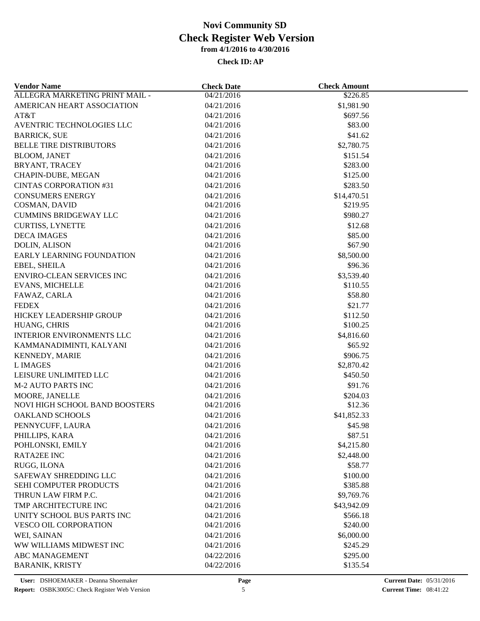| <b>Vendor Name</b>               | <b>Check Date</b> | <b>Check Amount</b> |  |
|----------------------------------|-------------------|---------------------|--|
| ALLEGRA MARKETING PRINT MAIL -   | 04/21/2016        | \$226.85            |  |
| AMERICAN HEART ASSOCIATION       | 04/21/2016        | \$1,981.90          |  |
| AT&T                             | 04/21/2016        | \$697.56            |  |
| AVENTRIC TECHNOLOGIES LLC        | 04/21/2016        | \$83.00             |  |
| <b>BARRICK, SUE</b>              | 04/21/2016        | \$41.62             |  |
| BELLE TIRE DISTRIBUTORS          | 04/21/2016        | \$2,780.75          |  |
| <b>BLOOM, JANET</b>              | 04/21/2016        | \$151.54            |  |
| BRYANT, TRACEY                   | 04/21/2016        | \$283.00            |  |
| CHAPIN-DUBE, MEGAN               | 04/21/2016        | \$125.00            |  |
| <b>CINTAS CORPORATION #31</b>    | 04/21/2016        | \$283.50            |  |
| <b>CONSUMERS ENERGY</b>          | 04/21/2016        | \$14,470.51         |  |
| COSMAN, DAVID                    | 04/21/2016        | \$219.95            |  |
| <b>CUMMINS BRIDGEWAY LLC</b>     | 04/21/2016        | \$980.27            |  |
| <b>CURTISS, LYNETTE</b>          | 04/21/2016        | \$12.68             |  |
| <b>DECA IMAGES</b>               | 04/21/2016        | \$85.00             |  |
| <b>DOLIN, ALISON</b>             | 04/21/2016        | \$67.90             |  |
| EARLY LEARNING FOUNDATION        | 04/21/2016        | \$8,500.00          |  |
| EBEL, SHEILA                     | 04/21/2016        | \$96.36             |  |
| <b>ENVIRO-CLEAN SERVICES INC</b> | 04/21/2016        | \$3,539.40          |  |
| <b>EVANS, MICHELLE</b>           | 04/21/2016        | \$110.55            |  |
| FAWAZ, CARLA                     | 04/21/2016        | \$58.80             |  |
| <b>FEDEX</b>                     |                   |                     |  |
|                                  | 04/21/2016        | \$21.77             |  |
| HICKEY LEADERSHIP GROUP          | 04/21/2016        | \$112.50            |  |
| HUANG, CHRIS                     | 04/21/2016        | \$100.25            |  |
| <b>INTERIOR ENVIRONMENTS LLC</b> | 04/21/2016        | \$4,816.60          |  |
| KAMMANADIMINTI, KALYANI          | 04/21/2016        | \$65.92             |  |
| KENNEDY, MARIE                   | 04/21/2016        | \$906.75            |  |
| L IMAGES                         | 04/21/2016        | \$2,870.42          |  |
| LEISURE UNLIMITED LLC            | 04/21/2016        | \$450.50            |  |
| <b>M-2 AUTO PARTS INC</b>        | 04/21/2016        | \$91.76             |  |
| MOORE, JANELLE                   | 04/21/2016        | \$204.03            |  |
| NOVI HIGH SCHOOL BAND BOOSTERS   | 04/21/2016        | \$12.36             |  |
| <b>OAKLAND SCHOOLS</b>           | 04/21/2016        | \$41,852.33         |  |
| PENNYCUFF, LAURA                 | 04/21/2016        | \$45.98             |  |
| PHILLIPS, KARA                   | 04/21/2016        | \$87.51             |  |
| POHLONSKI, EMILY                 | 04/21/2016        | \$4,215.80          |  |
| <b>RATA2EE INC</b>               | 04/21/2016        | \$2,448.00          |  |
| RUGG, ILONA                      | 04/21/2016        | \$58.77             |  |
| SAFEWAY SHREDDING LLC            | 04/21/2016        | \$100.00            |  |
| SEHI COMPUTER PRODUCTS           | 04/21/2016        | \$385.88            |  |
| THRUN LAW FIRM P.C.              | 04/21/2016        | \$9,769.76          |  |
| TMP ARCHITECTURE INC             | 04/21/2016        | \$43,942.09         |  |
| UNITY SCHOOL BUS PARTS INC       | 04/21/2016        | \$566.18            |  |
| <b>VESCO OIL CORPORATION</b>     | 04/21/2016        | \$240.00            |  |
| WEI, SAINAN                      | 04/21/2016        | \$6,000.00          |  |
| WW WILLIAMS MIDWEST INC          | 04/21/2016        | \$245.29            |  |
| <b>ABC MANAGEMENT</b>            | 04/22/2016        | \$295.00            |  |
| <b>BARANIK, KRISTY</b>           | 04/22/2016        | \$135.54            |  |
|                                  |                   |                     |  |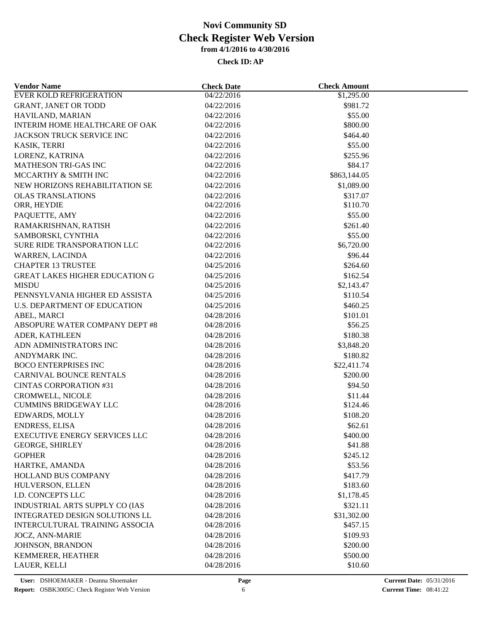| <b>EVER KOLD REFRIGERATION</b><br>04/22/2016<br>\$1,295.00             |  |
|------------------------------------------------------------------------|--|
| \$981.72<br><b>GRANT, JANET OR TODD</b><br>04/22/2016                  |  |
| HAVILAND, MARIAN<br>04/22/2016<br>\$55.00                              |  |
| INTERIM HOME HEALTHCARE OF OAK<br>\$800.00<br>04/22/2016               |  |
| JACKSON TRUCK SERVICE INC<br>\$464.40<br>04/22/2016                    |  |
| \$55.00<br>KASIK, TERRI<br>04/22/2016                                  |  |
| LORENZ, KATRINA<br>04/22/2016<br>\$255.96                              |  |
| MATHESON TRI-GAS INC<br>\$84.17<br>04/22/2016                          |  |
| \$863,144.05<br>MCCARTHY & SMITH INC<br>04/22/2016                     |  |
| NEW HORIZONS REHABILITATION SE<br>\$1,089.00<br>04/22/2016             |  |
| <b>OLAS TRANSLATIONS</b><br>04/22/2016<br>\$317.07                     |  |
| ORR, HEYDIE<br>04/22/2016<br>\$110.70                                  |  |
| PAQUETTE, AMY<br>04/22/2016<br>\$55.00                                 |  |
| RAMAKRISHNAN, RATISH<br>04/22/2016<br>\$261.40                         |  |
| SAMBORSKI, CYNTHIA<br>04/22/2016<br>\$55.00                            |  |
| \$6,720.00<br>SURE RIDE TRANSPORATION LLC<br>04/22/2016                |  |
| \$96.44<br>WARREN, LACINDA<br>04/22/2016                               |  |
| <b>CHAPTER 13 TRUSTEE</b><br>\$264.60<br>04/25/2016                    |  |
| <b>GREAT LAKES HIGHER EDUCATION G</b><br>04/25/2016<br>\$162.54        |  |
| <b>MISDU</b><br>04/25/2016<br>\$2,143.47                               |  |
| PENNSYLVANIA HIGHER ED ASSISTA<br>04/25/2016<br>\$110.54               |  |
| <b>U.S. DEPARTMENT OF EDUCATION</b><br>\$460.25<br>04/25/2016          |  |
| 04/28/2016<br>\$101.01                                                 |  |
| ABEL, MARCI<br>ABSOPURE WATER COMPANY DEPT #8<br>\$56.25<br>04/28/2016 |  |
| \$180.38                                                               |  |
| ADER, KATHLEEN<br>04/28/2016                                           |  |
| ADN ADMINISTRATORS INC<br>04/28/2016<br>\$3,848.20                     |  |
| ANDYMARK INC.<br>04/28/2016<br>\$180.82                                |  |
| <b>BOCO ENTERPRISES INC</b><br>04/28/2016<br>\$22,411.74               |  |
| CARNIVAL BOUNCE RENTALS<br>04/28/2016<br>\$200.00                      |  |
| <b>CINTAS CORPORATION #31</b><br>04/28/2016<br>\$94.50                 |  |
| CROMWELL, NICOLE<br>04/28/2016<br>\$11.44                              |  |
| <b>CUMMINS BRIDGEWAY LLC</b><br>04/28/2016<br>\$124.46                 |  |
| EDWARDS, MOLLY<br>04/28/2016<br>\$108.20                               |  |
| ENDRESS, ELISA<br>\$62.61<br>04/28/2016                                |  |
| EXECUTIVE ENERGY SERVICES LLC<br>\$400.00<br>04/28/2016                |  |
| <b>GEORGE, SHIRLEY</b><br>04/28/2016<br>\$41.88                        |  |
| <b>GOPHER</b><br>04/28/2016<br>\$245.12                                |  |
| HARTKE, AMANDA<br>04/28/2016<br>\$53.56                                |  |
| HOLLAND BUS COMPANY<br>04/28/2016<br>\$417.79                          |  |
| HULVERSON, ELLEN<br>04/28/2016<br>\$183.60                             |  |
| I.D. CONCEPTS LLC<br>04/28/2016<br>\$1,178.45                          |  |
| INDUSTRIAL ARTS SUPPLY CO (IAS<br>\$321.11<br>04/28/2016               |  |
| INTEGRATED DESIGN SOLUTIONS LL<br>04/28/2016<br>\$31,302.00            |  |
| <b>INTERCULTURAL TRAINING ASSOCIA</b><br>04/28/2016<br>\$457.15        |  |
| <b>JOCZ, ANN-MARIE</b><br>\$109.93<br>04/28/2016                       |  |
| JOHNSON, BRANDON<br>04/28/2016<br>\$200.00                             |  |
| KEMMERER, HEATHER<br>04/28/2016<br>\$500.00                            |  |
| LAUER, KELLI<br>\$10.60<br>04/28/2016                                  |  |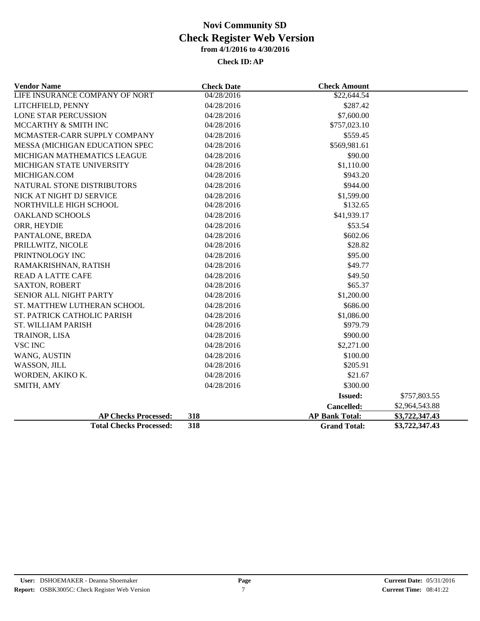| <b>Vendor Name</b>             | <b>Check Date</b>   | <b>Check Amount</b>   |                |
|--------------------------------|---------------------|-----------------------|----------------|
| LIFE INSURANCE COMPANY OF NORT | $\sqrt{04/28/2016}$ | \$22,644.54           |                |
| LITCHFIELD, PENNY              | 04/28/2016          | \$287.42              |                |
| <b>LONE STAR PERCUSSION</b>    | 04/28/2016          | \$7,600.00            |                |
| MCCARTHY & SMITH INC           | 04/28/2016          | \$757,023.10          |                |
| MCMASTER-CARR SUPPLY COMPANY   | 04/28/2016          | \$559.45              |                |
| MESSA (MICHIGAN EDUCATION SPEC | 04/28/2016          | \$569,981.61          |                |
| MICHIGAN MATHEMATICS LEAGUE    | 04/28/2016          | \$90.00               |                |
| MICHIGAN STATE UNIVERSITY      | 04/28/2016          | \$1,110.00            |                |
| MICHIGAN.COM                   | 04/28/2016          | \$943.20              |                |
| NATURAL STONE DISTRIBUTORS     | 04/28/2016          | \$944.00              |                |
| NICK AT NIGHT DJ SERVICE       | 04/28/2016          | \$1,599.00            |                |
| NORTHVILLE HIGH SCHOOL         | 04/28/2016          | \$132.65              |                |
| <b>OAKLAND SCHOOLS</b>         | 04/28/2016          | \$41,939.17           |                |
| ORR, HEYDIE                    | 04/28/2016          | \$53.54               |                |
| PANTALONE, BREDA               | 04/28/2016          | \$602.06              |                |
| PRILLWITZ, NICOLE              | 04/28/2016          | \$28.82               |                |
| PRINTNOLOGY INC                | 04/28/2016          | \$95.00               |                |
| RAMAKRISHNAN, RATISH           | 04/28/2016          | \$49.77               |                |
| <b>READ A LATTE CAFE</b>       | 04/28/2016          | \$49.50               |                |
| <b>SAXTON, ROBERT</b>          | 04/28/2016          | \$65.37               |                |
| <b>SENIOR ALL NIGHT PARTY</b>  | 04/28/2016          | \$1,200.00            |                |
| ST. MATTHEW LUTHERAN SCHOOL    | 04/28/2016          | \$686.00              |                |
| ST. PATRICK CATHOLIC PARISH    | 04/28/2016          | \$1,086.00            |                |
| ST. WILLIAM PARISH             | 04/28/2016          | \$979.79              |                |
| TRAINOR, LISA                  | 04/28/2016          | \$900.00              |                |
| <b>VSC INC</b>                 | 04/28/2016          | \$2,271.00            |                |
| WANG, AUSTIN                   | 04/28/2016          | \$100.00              |                |
| WASSON, JILL                   | 04/28/2016          | \$205.91              |                |
| WORDEN, AKIKO K.               | 04/28/2016          | \$21.67               |                |
| SMITH, AMY                     | 04/28/2016          | \$300.00              |                |
|                                |                     | <b>Issued:</b>        | \$757,803.55   |
|                                |                     | Cancelled:            | \$2,964,543.88 |
| <b>AP Checks Processed:</b>    | 318                 | <b>AP Bank Total:</b> | \$3,722,347.43 |
| <b>Total Checks Processed:</b> | 318                 | <b>Grand Total:</b>   | \$3,722,347.43 |